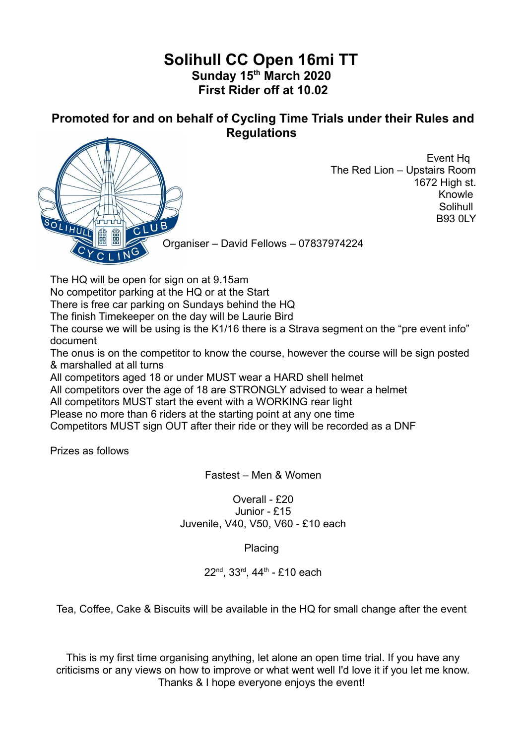## **Solihull CC Open 16mi TT Sunday 15th March 2020 First Rider off at 10.02**

**Promoted for and on behalf of Cycling Time Trials under their Rules and Regulations**



Event Hq The Red Lion – Upstairs Room 1672 High st. Knowle Solihull B93 0LY

Organiser – David Fellows – 07837974224

The HQ will be open for sign on at 9.15am

No competitor parking at the HQ or at the Start

There is free car parking on Sundays behind the HQ

The finish Timekeeper on the day will be Laurie Bird

The course we will be using is the K1/16 there is a Strava segment on the "pre event info" document

The onus is on the competitor to know the course, however the course will be sign posted & marshalled at all turns

All competitors aged 18 or under MUST wear a HARD shell helmet

All competitors over the age of 18 are STRONGLY advised to wear a helmet

All competitors MUST start the event with a WORKING rear light

Please no more than 6 riders at the starting point at any one time

Competitors MUST sign OUT after their ride or they will be recorded as a DNF

Prizes as follows

Fastest – Men & Women

Overall - £20 Junior - £15 Juvenile, V40, V50, V60 - £10 each

Placing

 $22^{nd}$ ,  $33^{rd}$ ,  $44^{th}$  - £10 each

Tea, Coffee, Cake & Biscuits will be available in the HQ for small change after the event

This is my first time organising anything, let alone an open time trial. If you have any criticisms or any views on how to improve or what went well I'd love it if you let me know. Thanks & I hope everyone enjoys the event!